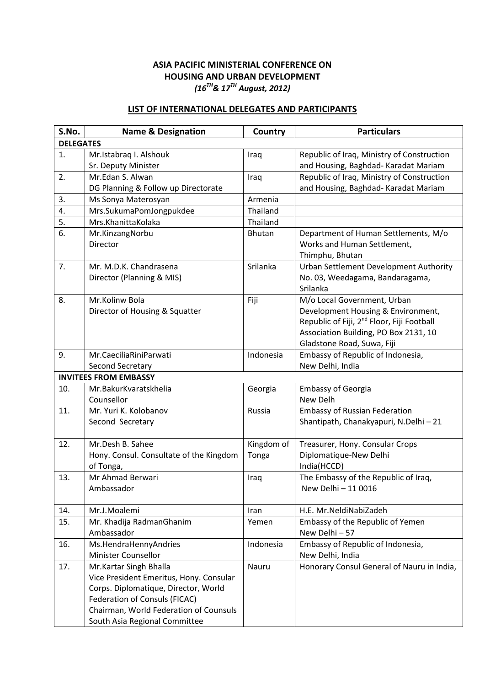## **ASIA PACIFIC MINISTERIAL CONFERENCE ON HOUSING AND URBAN DEVELOPMENT** *(16TH& 17TH August, 2012)*

## **LIST OF INTERNATIONAL DELEGATES AND PARTICIPANTS**

| S.No.            | <b>Name &amp; Designation</b>           | Country       | <b>Particulars</b>                                     |  |
|------------------|-----------------------------------------|---------------|--------------------------------------------------------|--|
| <b>DELEGATES</b> |                                         |               |                                                        |  |
| 1.               | Mr.Istabraq I. Alshouk                  | Iraq          | Republic of Iraq, Ministry of Construction             |  |
|                  | Sr. Deputy Minister                     |               | and Housing, Baghdad- Karadat Mariam                   |  |
| 2.               | Mr.Edan S. Alwan                        | Iraq          | Republic of Iraq, Ministry of Construction             |  |
|                  | DG Planning & Follow up Directorate     |               | and Housing, Baghdad- Karadat Mariam                   |  |
| 3.               | Ms Sonya Materosyan                     | Armenia       |                                                        |  |
| 4.               | Mrs.SukumaPomJongpukdee                 | Thailand      |                                                        |  |
| 5.               | Mrs.KhanittaKolaka                      | Thailand      |                                                        |  |
| 6.               | Mr.KinzangNorbu                         | <b>Bhutan</b> | Department of Human Settlements, M/o                   |  |
|                  | Director                                |               | Works and Human Settlement,                            |  |
|                  |                                         |               | Thimphu, Bhutan                                        |  |
| 7.               | Mr. M.D.K. Chandrasena                  | Srilanka      | Urban Settlement Development Authority                 |  |
|                  | Director (Planning & MIS)               |               | No. 03, Weedagama, Bandaragama,                        |  |
|                  |                                         |               | Srilanka                                               |  |
| 8.               | Mr.Kolinw Bola                          | Fiji          | M/o Local Government, Urban                            |  |
|                  | Director of Housing & Squatter          |               | Development Housing & Environment,                     |  |
|                  |                                         |               | Republic of Fiji, 2 <sup>nd</sup> Floor, Fiji Football |  |
|                  |                                         |               | Association Building, PO Box 2131, 10                  |  |
|                  |                                         |               | Gladstone Road, Suwa, Fiji                             |  |
| 9.               | Mr.CaeciliaRiniParwati                  | Indonesia     | Embassy of Republic of Indonesia,                      |  |
|                  | Second Secretary                        |               | New Delhi, India                                       |  |
|                  | <b>INVITEES FROM EMBASSY</b>            |               |                                                        |  |
| 10.              | Mr.BakurKvaratskhelia                   | Georgia       | <b>Embassy of Georgia</b>                              |  |
|                  | Counsellor                              |               | New Delh                                               |  |
| 11.              | Mr. Yuri K. Kolobanov                   | Russia        | <b>Embassy of Russian Federation</b>                   |  |
|                  | Second Secretary                        |               | Shantipath, Chanakyapuri, N.Delhi - 21                 |  |
| 12.              | Mr.Desh B. Sahee                        | Kingdom of    | Treasurer, Hony. Consular Crops                        |  |
|                  | Hony. Consul. Consultate of the Kingdom | Tonga         | Diplomatique-New Delhi                                 |  |
|                  | of Tonga,                               |               | India(HCCD)                                            |  |
| 13.              | Mr Ahmad Berwari                        | Iraq          | The Embassy of the Republic of Iraq,                   |  |
|                  | Ambassador                              |               | New Delhi - 11 0016                                    |  |
|                  |                                         |               |                                                        |  |
| 14.              | Mr.J.Moalemi                            | Iran          | H.E. Mr.NeldiNabiZadeh                                 |  |
| 15.              | Mr. Khadija RadmanGhanim                | Yemen         | Embassy of the Republic of Yemen                       |  |
|                  | Ambassador                              |               | New Delhi-57                                           |  |
| 16.              | Ms.HendraHennyAndries                   | Indonesia     | Embassy of Republic of Indonesia,                      |  |
|                  | Minister Counsellor                     |               | New Delhi, India                                       |  |
| 17.              | Mr.Kartar Singh Bhalla                  | Nauru         | Honorary Consul General of Nauru in India,             |  |
|                  | Vice President Emeritus, Hony. Consular |               |                                                        |  |
|                  | Corps. Diplomatique, Director, World    |               |                                                        |  |
|                  | Federation of Consuls (FICAC)           |               |                                                        |  |
|                  | Chairman, World Federation of Counsuls  |               |                                                        |  |
|                  | South Asia Regional Committee           |               |                                                        |  |